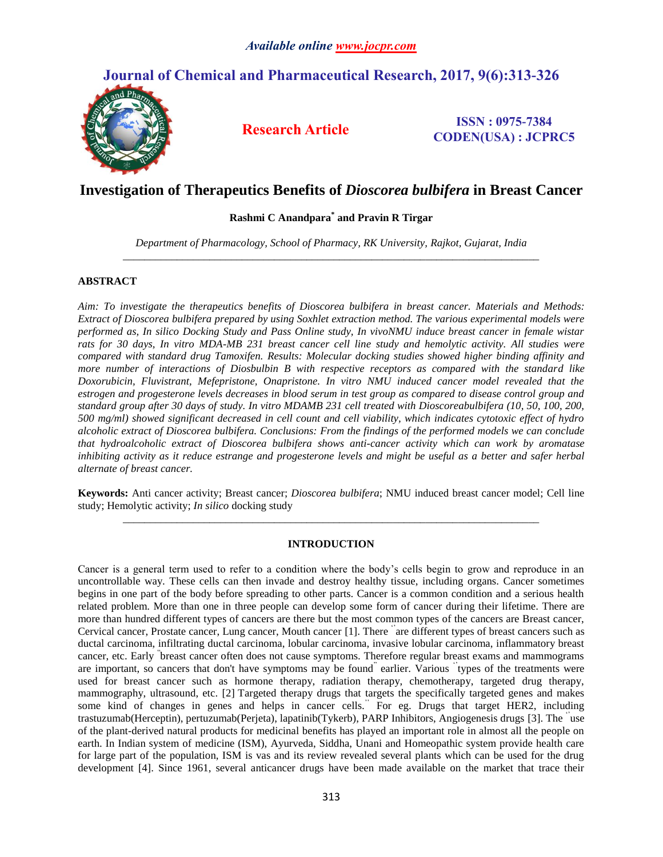# **Journal of Chemical and Pharmaceutical Research, 2017, 9(6):313-326**



**Research Article ISSN : 0975-7384 CODEN(USA) : JCPRC5**

# **Investigation of Therapeutics Benefits of** *Dioscorea bulbifera* **in Breast Cancer**

# **Rashmi C Anandpara\* and Pravin R Tirgar**

*Department of Pharmacology, School of Pharmacy, RK University, Rajkot, Gujarat, India \_\_\_\_\_\_\_\_\_\_\_\_\_\_\_\_\_\_\_\_\_\_\_\_\_\_\_\_\_\_\_\_\_\_\_\_\_\_\_\_\_\_\_\_\_\_\_\_\_\_\_\_\_\_\_\_\_\_\_\_\_\_\_\_\_\_\_\_\_\_\_\_\_\_\_\_\_*

# **ABSTRACT**

*Aim: To investigate the therapeutics benefits of Dioscorea bulbifera in breast cancer. Materials and Methods: Extract of Dioscorea bulbifera prepared by using Soxhlet extraction method. The various experimental models were performed as, In silico Docking Study and Pass Online study, In vivoNMU induce breast cancer in female wistar rats for 30 days, In vitro MDA-MB 231 breast cancer cell line study and hemolytic activity. All studies were compared with standard drug Tamoxifen. Results: Molecular docking studies showed higher binding affinity and more number of interactions of Diosbulbin B with respective receptors as compared with the standard like Doxorubicin, Fluvistrant, Mefepristone, Onapristone. In vitro NMU induced cancer model revealed that the estrogen and progesterone levels decreases in blood serum in test group as compared to disease control group and standard group after 30 days of study. In vitro MDAMB 231 cell treated with Dioscoreabulbifera (10, 50, 100, 200, 500 mg/ml) showed significant decreased in cell count and cell viability, which indicates cytotoxic effect of hydro alcoholic extract of Dioscorea bulbifera. Conclusions: From the findings of the performed models we can conclude that hydroalcoholic extract of Dioscorea bulbifera shows anti-cancer activity which can work by aromatase*  inhibiting activity as it reduce estrange and progesterone levels and might be useful as a better and safer herbal *alternate of breast cancer.*

**Keywords:** Anti cancer activity; Breast cancer; *Dioscorea bulbifera*; NMU induced breast cancer model; Cell line study; Hemolytic activity; *In silico* docking study *\_\_\_\_\_\_\_\_\_\_\_\_\_\_\_\_\_\_\_\_\_\_\_\_\_\_\_\_\_\_\_\_\_\_\_\_\_\_\_\_\_\_\_\_\_\_\_\_\_\_\_\_\_\_\_\_\_\_\_\_\_\_\_\_\_\_\_\_\_\_\_\_\_\_\_\_\_*

# **INTRODUCTION**

Cancer is a general term used to refer to a condition where the body's cells begin to grow and reproduce in an uncontrollable way. These cells can then invade and destroy healthy tissue, including organs. Cancer sometimes begins in one part of the body before spreading to other parts. Cancer is a common condition and a serious health related problem. More than one in three people can develop some form of cancer during their lifetime. There are more than hundred different types of cancers are there but the most common types of the cancers are Breast cancer, Cervical cancer, Prostate cancer, Lung cancer, Mouth cancer [1]. There  $\degree$  are different types of breast cancers such as ductal carcinoma, infiltrating ductal carcinoma, lobular carcinoma, invasive lobular carcinoma, inflammatory breast cancer, etc. Early " breast cancer often does not cause symptoms. Therefore regular breast exams and mammograms are important, so cancers that don't have symptoms may be found<sup>"</sup> earlier. Various itypes of the treatments were used for breast cancer such as hormone therapy, radiation therapy, chemotherapy, targeted drug therapy, mammography, ultrasound, etc. [2] Targeted therapy drugs that targets the specifically targeted genes and makes some kind of changes in genes and helps in cancer cells.<sup>"</sup> For eg. Drugs that target HER2, including trastuzumab(Herceptin), pertuzumab(Perjeta), lapatinib(Tykerb), PARP Inhibitors, Angiogenesis drugs [3]. The ''use of the plant-derived natural products for medicinal benefits has played an important role in almost all the people on earth. In Indian system of medicine (ISM), Ayurveda, Siddha, Unani and Homeopathic system provide health care for large part of the population, ISM is vas and its review revealed several plants which can be used for the drug development [4]. Since 1961, several anticancer drugs have been made available on the market that trace their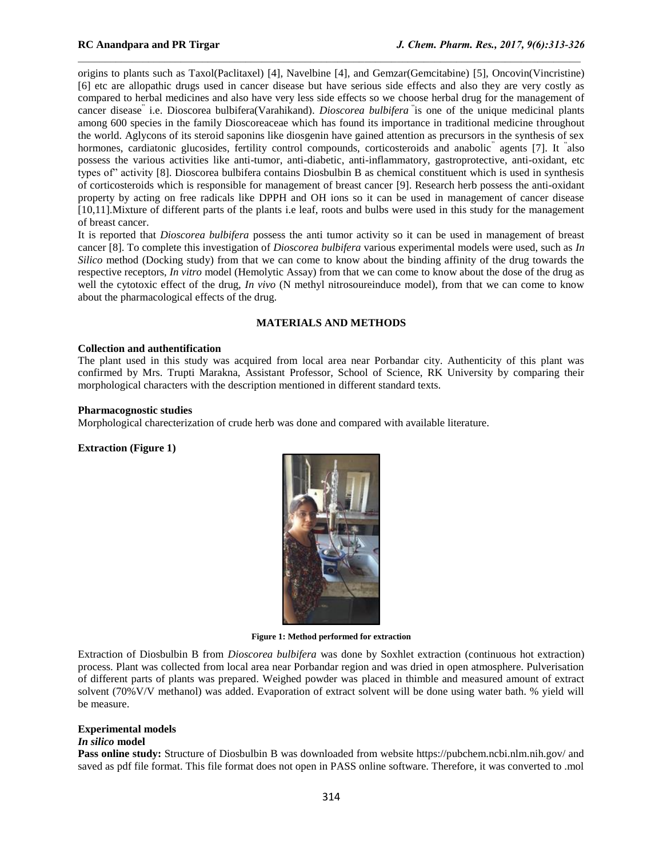origins to plants such as Taxol(Paclitaxel) [4], Navelbine [4], and Gemzar(Gemcitabine) [5], Oncovin(Vincristine) [6] etc are allopathic drugs used in cancer disease but have serious side effects and also they are very costly as compared to herbal medicines and also have very less side effects so we choose herbal drug for the management of cancer disease<sup>"</sup> i.e. Dioscorea bulbifera(Varahikand). *Dioscorea bulbifera* "is one of the unique medicinal plants among 600 species in the family Dioscoreaceae which has found its importance in traditional medicine throughout the world. Aglycons of its steroid saponins like diosgenin have gained attention as precursors in the synthesis of sex hormones, cardiatonic glucosides, fertility control compounds, corticosteroids and anabolic<sup>"</sup> agents [7]. It <sup>"</sup>also possess the various activities like anti-tumor, anti-diabetic, anti-inflammatory, gastroprotective, anti-oxidant, etc types of" activity [8]. Dioscorea bulbifera contains Diosbulbin B as chemical constituent which is used in synthesis of corticosteroids which is responsible for management of breast cancer [9]. Research herb possess the anti-oxidant property by acting on free radicals like DPPH and OH ions so it can be used in management of cancer disease [10,11].Mixture of different parts of the plants i.e leaf, roots and bulbs were used in this study for the management of breast cancer.

It is reported that *Dioscorea bulbifera* possess the anti tumor activity so it can be used in management of breast cancer [8]. To complete this investigation of *Dioscorea bulbifera* various experimental models were used, such as *In Silico* method (Docking study) from that we can come to know about the binding affinity of the drug towards the respective receptors, *In vitro* model (Hemolytic Assay) from that we can come to know about the dose of the drug as well the cytotoxic effect of the drug, *In vivo* (N methyl nitrosoureinduce model), from that we can come to know about the pharmacological effects of the drug.

# **MATERIALS AND METHODS**

## **Collection and authentification**

The plant used in this study was acquired from local area near Porbandar city. Authenticity of this plant was confirmed by Mrs. Trupti Marakna, Assistant Professor, School of Science, RK University by comparing their morphological characters with the description mentioned in different standard texts.

## **Pharmacognostic studies**

Morphological charecterization of crude herb was done and compared with available literature.

#### **Extraction (Figure 1)**



**Figure 1: Method performed for extraction**

Extraction of Diosbulbin B from *Dioscorea bulbifera* was done by Soxhlet extraction (continuous hot extraction) process. Plant was collected from local area near Porbandar region and was dried in open atmosphere. Pulverisation of different parts of plants was prepared. Weighed powder was placed in thimble and measured amount of extract solvent (70%V/V methanol) was added. Evaporation of extract solvent will be done using water bath. % yield will be measure.

# **Experimental models**

# *In silico* **model**

**Pass online study:** Structure of Diosbulbin B was downloaded from website https://pubchem.ncbi.nlm.nih.gov/ and saved as pdf file format. This file format does not open in PASS online software. Therefore, it was converted to .mol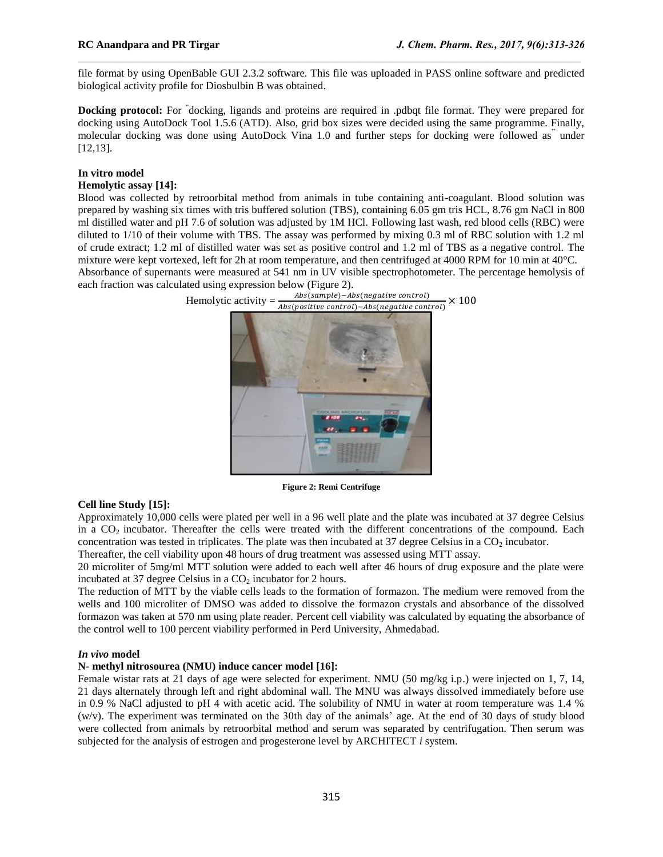file format by using OpenBable GUI 2.3.2 software. This file was uploaded in PASS online software and predicted biological activity profile for Diosbulbin B was obtained.

**Docking protocol:** For " docking, ligands and proteins are required in .pdbqt file format. They were prepared for docking using AutoDock Tool 1.5.6 (ATD). Also, grid box sizes were decided using the same programme. Finally, molecular docking was done using AutoDock Vina 1.0 and further steps for docking were followed as" under [12,13].

#### **In vitro model Hemolytic assay [14]:**

Blood was collected by retroorbital method from animals in tube containing anti-coagulant. Blood solution was prepared by washing six times with tris buffered solution (TBS), containing 6.05 gm tris HCL, 8.76 gm NaCl in 800 ml distilled water and pH 7.6 of solution was adjusted by 1M HCl. Following last wash, red blood cells (RBC) were diluted to 1/10 of their volume with TBS. The assay was performed by mixing 0.3 ml of RBC solution with 1.2 ml of crude extract; 1.2 ml of distilled water was set as positive control and 1.2 ml of TBS as a negative control. The mixture were kept vortexed, left for 2h at room temperature, and then centrifuged at 4000 RPM for 10 min at 40°C. Absorbance of supernants were measured at 541 nm in UV visible spectrophotometer. The percentage hemolysis of each fraction was calculated using expression below (Figure 2).



Abs(sample)-Abs(negative control) Hemolytic activity  $=$  $\times 100$ 

**Figure 2: Remi Centrifuge**

# **Cell line Study [15]:**

Approximately 10,000 cells were plated per well in a 96 well plate and the plate was incubated at 37 degree Celsius in a  $CO<sub>2</sub>$  incubator. Thereafter the cells were treated with the different concentrations of the compound. Each concentration was tested in triplicates. The plate was then incubated at 37 degree Celsius in a  $CO<sub>2</sub>$  incubator.

Thereafter, the cell viability upon 48 hours of drug treatment was assessed using MTT assay.

20 microliter of 5mg/ml MTT solution were added to each well after 46 hours of drug exposure and the plate were incubated at 37 degree Celsius in a  $CO<sub>2</sub>$  incubator for 2 hours.

The reduction of MTT by the viable cells leads to the formation of formazon. The medium were removed from the wells and 100 microliter of DMSO was added to dissolve the formazon crystals and absorbance of the dissolved formazon was taken at 570 nm using plate reader. Percent cell viability was calculated by equating the absorbance of the control well to 100 percent viability performed in Perd University, Ahmedabad.

# *In vivo* **model**

# **N- methyl nitrosourea (NMU) induce cancer model [16]:**

Female wistar rats at 21 days of age were selected for experiment. NMU (50 mg/kg i.p.) were injected on 1, 7, 14, 21 days alternately through left and right abdominal wall. The MNU was always dissolved immediately before use in 0.9 % NaCl adjusted to pH 4 with acetic acid. The solubility of NMU in water at room temperature was 1.4 % (w/v). The experiment was terminated on the 30th day of the animals' age. At the end of 30 days of study blood were collected from animals by retroorbital method and serum was separated by centrifugation. Then serum was subjected for the analysis of estrogen and progesterone level by ARCHITECT *i* system.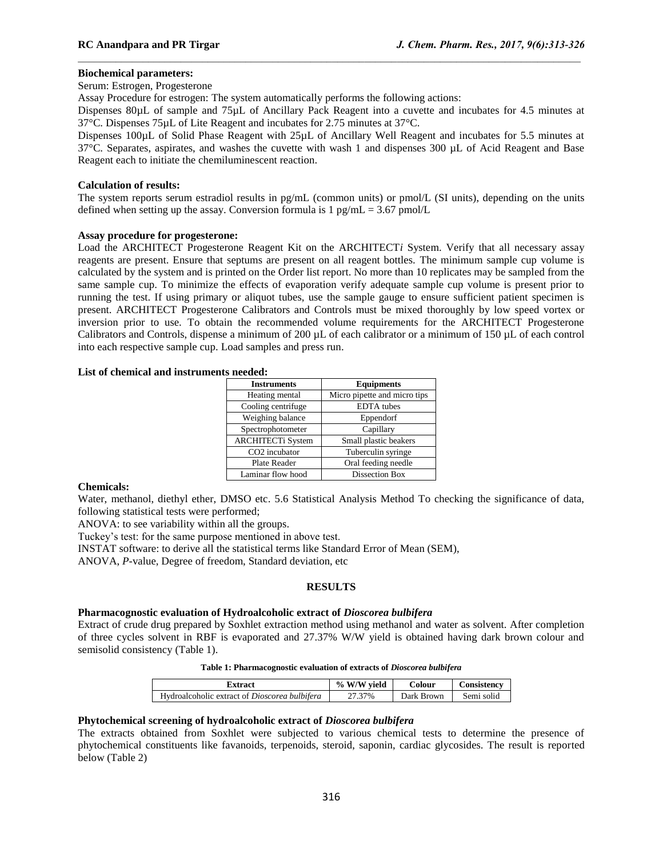# **Biochemical parameters:**

## Serum: Estrogen, Progesterone

Assay Procedure for estrogen: The system automatically performs the following actions:

Dispenses 80µL of sample and 75µL of Ancillary Pack Reagent into a cuvette and incubates for 4.5 minutes at 37°C. Dispenses 75µL of Lite Reagent and incubates for 2.75 minutes at 37°C.

Dispenses 100µL of Solid Phase Reagent with 25µL of Ancillary Well Reagent and incubates for 5.5 minutes at 37°C. Separates, aspirates, and washes the cuvette with wash 1 and dispenses 300 µL of Acid Reagent and Base Reagent each to initiate the chemiluminescent reaction.

#### **Calculation of results:**

The system reports serum estradiol results in pg/mL (common units) or pmol/L (SI units), depending on the units defined when setting up the assay. Conversion formula is  $1 \text{ pg/mL} = 3.67 \text{ pmol/L}$ 

#### **Assay procedure for progesterone:**

Load the ARCHITECT Progesterone Reagent Kit on the ARCHITECT*i* System. Verify that all necessary assay reagents are present. Ensure that septums are present on all reagent bottles. The minimum sample cup volume is calculated by the system and is printed on the Order list report. No more than 10 replicates may be sampled from the same sample cup. To minimize the effects of evaporation verify adequate sample cup volume is present prior to running the test. If using primary or aliquot tubes, use the sample gauge to ensure sufficient patient specimen is present. ARCHITECT Progesterone Calibrators and Controls must be mixed thoroughly by low speed vortex or inversion prior to use. To obtain the recommended volume requirements for the ARCHITECT Progesterone Calibrators and Controls, dispense a minimum of 200 µL of each calibrator or a minimum of 150 µL of each control into each respective sample cup. Load samples and press run.

#### **List of chemical and instruments needed:**

| <b>Instruments</b>        | <b>Equipments</b>            |
|---------------------------|------------------------------|
| Heating mental            | Micro pipette and micro tips |
| Cooling centrifuge        | <b>EDTA</b> tubes            |
| Weighing balance          | Eppendorf                    |
| Spectrophotometer         | Capillary                    |
| <b>ARCHITECTi System</b>  | Small plastic beakers        |
| CO <sub>2</sub> incubator | Tuberculin syringe           |
| Plate Reader              | Oral feeding needle          |
| Laminar flow hood         | Dissection Box               |

#### **Chemicals:**

Water, methanol, diethyl ether, DMSO etc. 5.6 Statistical Analysis Method To checking the significance of data, following statistical tests were performed;

ANOVA: to see variability within all the groups.

Tuckey's test: for the same purpose mentioned in above test.

INSTAT software: to derive all the statistical terms like Standard Error of Mean (SEM),

ANOVA, *P*-value, Degree of freedom, Standard deviation, etc

#### **RESULTS**

## **Pharmacognostic evaluation of Hydroalcoholic extract of** *Dioscorea bulbifera*

Extract of crude drug prepared by Soxhlet extraction method using methanol and water as solvent. After completion of three cycles solvent in RBF is evaporated and 27.37% W/W yield is obtained having dark brown colour and semisolid consistency (Table 1).

#### **Table 1: Pharmacognostic evaluation of extracts of** *Dioscorea bulbifera*

| Extract                                              | % W/W vield | Colour     | Consistency |
|------------------------------------------------------|-------------|------------|-------------|
| Hydroalcoholic extract of <i>Dioscorea bulbifera</i> | 27.37%      | Dark Brown | Semi solid  |

# **Phytochemical screening of hydroalcoholic extract of** *Dioscorea bulbifera*

The extracts obtained from Soxhlet were subjected to various chemical tests to determine the presence of phytochemical constituents like favanoids, terpenoids, steroid, saponin, cardiac glycosides. The result is reported below (Table 2)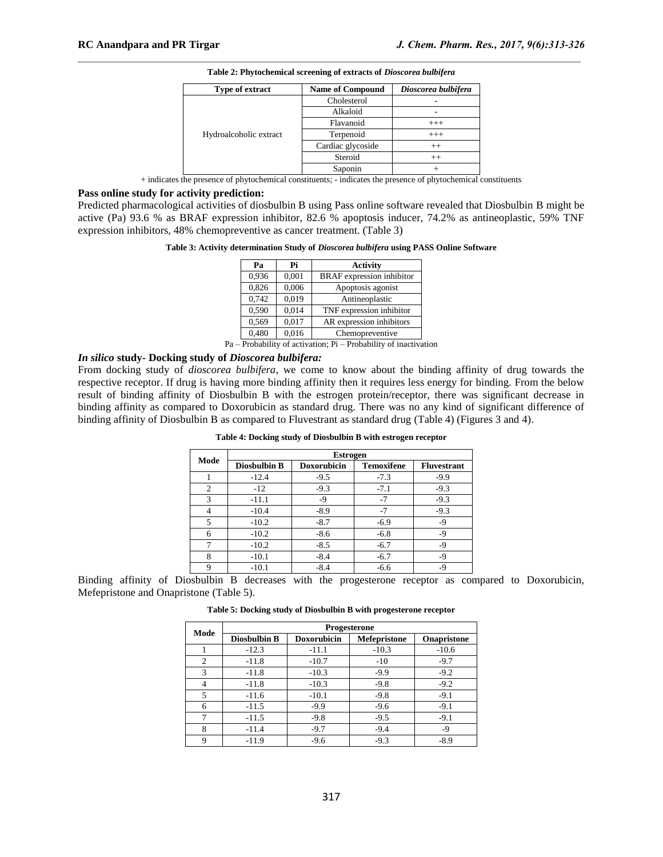| <b>Type of extract</b> | <b>Name of Compound</b> | Dioscorea bulbifera |
|------------------------|-------------------------|---------------------|
| Hydroalcoholic extract | Cholesterol             |                     |
|                        | Alkaloid                |                     |
|                        | Flavanoid               | $^{+++}$            |
|                        | Terpenoid               | $^{+++}$            |
|                        | Cardiac glycoside       | $++$                |
|                        | Steroid                 | $^{++}$             |
|                        | Saponin                 |                     |

**Table 2: Phytochemical screening of extracts of** *Dioscorea bulbifera*

+ indicates the presence of phytochemical constituents; - indicates the presence of phytochemical constituents

## **Pass online study for activity prediction:**

Predicted pharmacological activities of diosbulbin B using Pass online software revealed that Diosbulbin B might be active (Pa) 93.6 % as BRAF expression inhibitor, 82.6 % apoptosis inducer, 74.2% as antineoplastic, 59% TNF expression inhibitors, 48% chemopreventive as cancer treatment. (Table 3)

**Table 3: Activity determination Study of** *Dioscorea bulbifera* **using PASS Online Software**

| Pа    | Pi    | <b>Activity</b>                  |
|-------|-------|----------------------------------|
| 0,936 | 0,001 | <b>BRAF</b> expression inhibitor |
| 0,826 | 0,006 | Apoptosis agonist                |
| 0,742 | 0,019 | Antineoplastic                   |
| 0,590 | 0,014 | TNF expression inhibitor         |
| 0,569 | 0,017 | AR expression inhibitors         |
| 0,480 | 0,016 | Chemopreventive                  |

Pa – Probability of activation; Pi – Probability of inactivation

# *In silico* **study- Docking study of** *Dioscorea bulbifera:*

From docking study of *dioscorea bulbifera*, we come to know about the binding affinity of drug towards the respective receptor. If drug is having more binding affinity then it requires less energy for binding. From the below result of binding affinity of Diosbulbin B with the estrogen protein/receptor, there was significant decrease in binding affinity as compared to Doxorubicin as standard drug. There was no any kind of significant difference of binding affinity of Diosbulbin B as compared to Fluvestrant as standard drug (Table 4) (Figures 3 and 4).

| Mode        | <b>Estrogen</b> |                    |                   |                    |  |  |
|-------------|-----------------|--------------------|-------------------|--------------------|--|--|
|             | Diosbulbin B    | <b>Doxorubicin</b> | <b>Temoxifene</b> | <b>Fluvestrant</b> |  |  |
|             | $-12.4$         | $-9.5$             | $-7.3$            | $-9.9$             |  |  |
| 2           | $-12$           | $-9.3$             | $-7.1$            | $-9.3$             |  |  |
| 3           | $-11.1$         | -9                 | $-7$              | $-9.3$             |  |  |
| 4           | $-10.4$         | $-8.9$             | $-7$              | $-9.3$             |  |  |
| 5           | $-10.2$         | $-8.7$             | $-6.9$            | $-9$               |  |  |
| 6           | $-10.2$         | $-8.6$             | $-6.8$            | $-9$               |  |  |
| 7           | $-10.2$         | $-8.5$             | $-6.7$            | $-9$               |  |  |
| 8           | $-10.1$         | $-8.4$             | $-6.7$            | $-9$               |  |  |
| $\mathbf Q$ | $-10.1$         | $-8.4$             | $-6.6$            | $-9$               |  |  |

**Table 4: Docking study of Diosbulbin B with estrogen receptor**

Binding affinity of Diosbulbin B decreases with the progesterone receptor as compared to Doxorubicin, Mefepristone and Onapristone (Table 5).

| Table 5: Docking study of Diosbulbin B with progesterone receptor |  |  |  |
|-------------------------------------------------------------------|--|--|--|
|                                                                   |  |  |  |

| Mode           | <b>Progesterone</b> |                    |                     |             |  |  |
|----------------|---------------------|--------------------|---------------------|-------------|--|--|
|                | Diosbulbin B        | <b>Doxorubicin</b> | <b>Mefepristone</b> | Onapristone |  |  |
|                | $-12.3$             | $-11.1$            | $-10.3$             | $-10.6$     |  |  |
| $\overline{c}$ | $-11.8$             | $-10.7$            | $-10$               | $-9.7$      |  |  |
| 3              | $-11.8$             | $-10.3$            | $-9.9$              | $-9.2$      |  |  |
| 4              | $-11.8$             | $-10.3$            | $-9.8$              | $-9.2$      |  |  |
| 5              | $-11.6$             | $-10.1$            | $-9.8$              | $-9.1$      |  |  |
| 6              | $-11.5$             | $-9.9$             | $-9.6$              | $-9.1$      |  |  |
| 7              | $-11.5$             | $-9.8$             | $-9.5$              | $-9.1$      |  |  |
| 8              | $-11.4$             | $-9.7$             | $-9.4$              | $-9$        |  |  |
| 9              | $-11.9$             | $-9.6$             | $-9.3$              | $-8.9$      |  |  |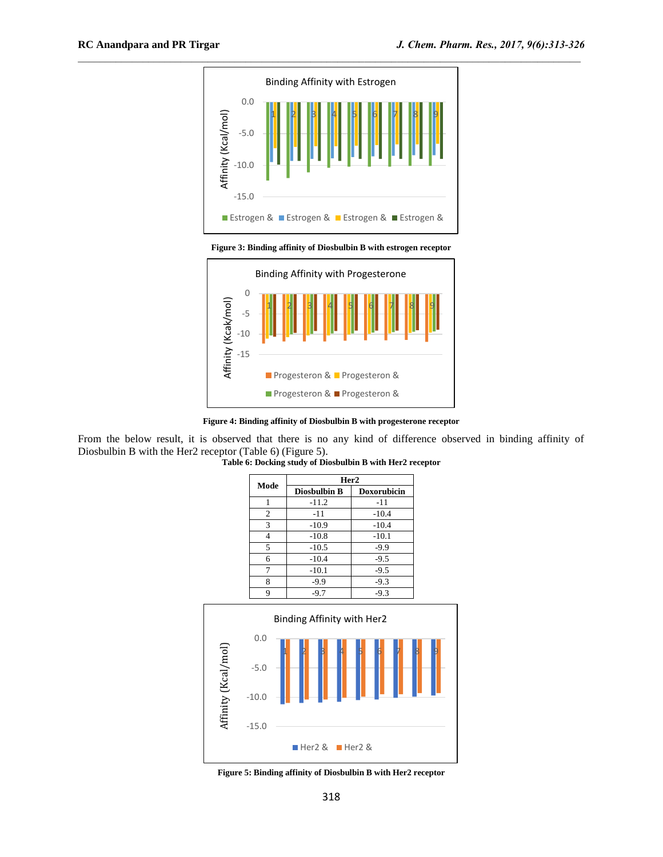

**Figure 3: Binding affinity of Diosbulbin B with estrogen receptor**



**Figure 4: Binding affinity of Diosbulbin B with progesterone receptor**

From the below result, it is observed that there is no any kind of difference observed in binding affinity of Diosbulbin B with the Her2 receptor (Table 6) (Figure 5). **Table 6: Docking study of Diosbulbin B with Her2 receptor**

|                | Her2                |                    |  |
|----------------|---------------------|--------------------|--|
| Mode           | <b>Diosbulbin B</b> | <b>Doxorubicin</b> |  |
|                | $-11.2$             | $-11$              |  |
| $\overline{2}$ | $-11$               | $-10.4$            |  |
| 3              | $-10.9$             | $-10.4$            |  |
| 4              | $-10.8$             | $-10.1$            |  |
| 5              | $-10.5$             | $-9.9$             |  |
| 6              | $-10.4$             | $-9.5$             |  |
| 7              | $-10.1$             | $-9.5$             |  |
| 8              | $-9.9$              | $-9.3$             |  |
|                | $-9.7$              | $-9.3$             |  |

Binding Affinity with Her2 0.0 Affinity (Kcal/mol) Affinity (Kcal/mol) 1 2 3 4 5 6 7 8 9 -5.0 -10.0 -15.0 Her2 & Her2 &

**Figure 5: Binding affinity of Diosbulbin B with Her2 receptor**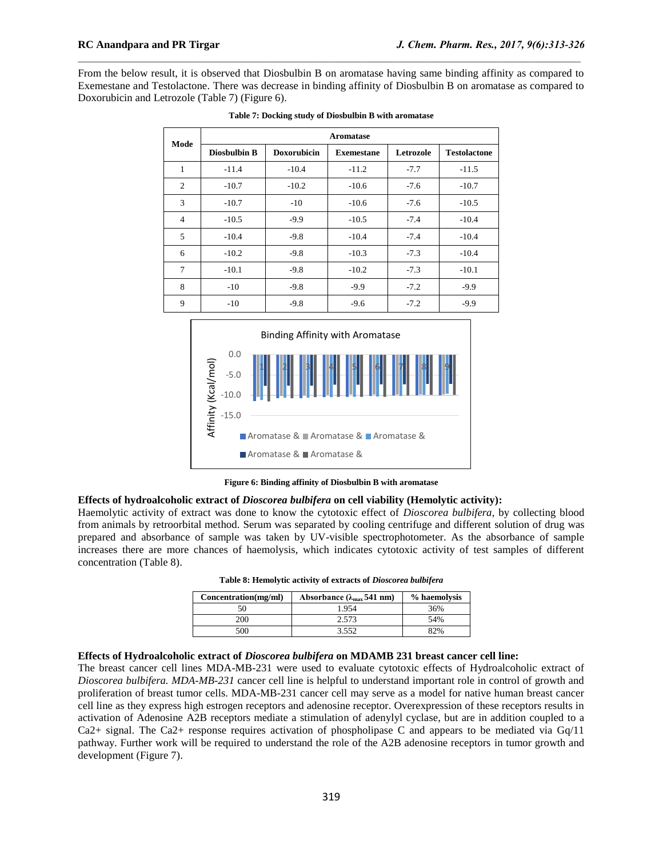From the below result, it is observed that Diosbulbin B on aromatase having same binding affinity as compared to Exemestane and Testolactone. There was decrease in binding affinity of Diosbulbin B on aromatase as compared to Doxorubicin and Letrozole (Table 7) (Figure 6).

| Mode                | <b>Aromatase</b> |             |                   |           |                     |
|---------------------|------------------|-------------|-------------------|-----------|---------------------|
| <b>Diosbulbin B</b> |                  | Doxorubicin | <b>Exemestane</b> | Letrozole | <b>Testolactone</b> |
| 1                   | $-11.4$          | $-10.4$     | $-11.2$           | $-7.7$    | $-11.5$             |
| $\overline{c}$      | $-10.7$          | $-10.2$     | $-10.6$           | $-7.6$    | $-10.7$             |
| 3                   | $-10.7$          | $-10$       | $-10.6$           | $-7.6$    | $-10.5$             |
| $\overline{4}$      | $-10.5$          | $-9.9$      | $-10.5$           | $-7.4$    | $-10.4$             |
| 5                   | $-10.4$          | $-9.8$      | $-10.4$           | $-7.4$    | $-10.4$             |
| 6                   | $-10.2$          | $-9.8$      | $-10.3$           | $-7.3$    | $-10.4$             |
| 7                   | $-10.1$          | $-9.8$      | $-10.2$           | $-7.3$    | $-10.1$             |
| 8                   | $-10$            | $-9.8$      | $-9.9$            | $-7.2$    | $-9.9$              |
| 9                   | $-10$            | $-9.8$      | $-9.6$            | $-7.2$    | $-9.9$              |

|  |  | Table 7: Docking study of Diosbulbin B with aromatase |
|--|--|-------------------------------------------------------|
|  |  |                                                       |



**Figure 6: Binding affinity of Diosbulbin B with aromatase**

# **Effects of hydroalcoholic extract of** *Dioscorea bulbifera* **on cell viability (Hemolytic activity):**

Haemolytic activity of extract was done to know the cytotoxic effect of *Dioscorea bulbifera*, by collecting blood from animals by retroorbital method. Serum was separated by cooling centrifuge and different solution of drug was prepared and absorbance of sample was taken by UV-visible spectrophotometer. As the absorbance of sample increases there are more chances of haemolysis, which indicates cytotoxic activity of test samples of different concentration (Table 8).

| Concentration(mg/ml) | Absorbance ( $\lambda_{\text{max}}$ 541 nm) | % haemolysis |
|----------------------|---------------------------------------------|--------------|
|                      | 1.954                                       | 36%          |
| 200                  | 2.573                                       | 54%          |
| 500                  | 3.552                                       | 82%          |

#### **Effects of Hydroalcoholic extract of** *Dioscorea bulbifera* **on MDAMB 231 breast cancer cell line:**

The breast cancer cell lines MDA-MB-231 were used to evaluate cytotoxic effects of Hydroalcoholic extract of *Dioscorea bulbifera. MDA-MB-231* cancer cell line is helpful to understand important role in control of growth and proliferation of breast tumor cells. MDA-MB-231 cancer cell may serve as a model for native human breast cancer cell line as they express high estrogen receptors and adenosine receptor. Overexpression of these receptors results in activation of Adenosine A2B receptors mediate a stimulation of adenylyl cyclase, but are in addition coupled to a Ca2+ signal. The Ca2+ response requires activation of phospholipase C and appears to be mediated via Gq/11 pathway. Further work will be required to understand the role of the A2B adenosine receptors in tumor growth and development (Figure 7).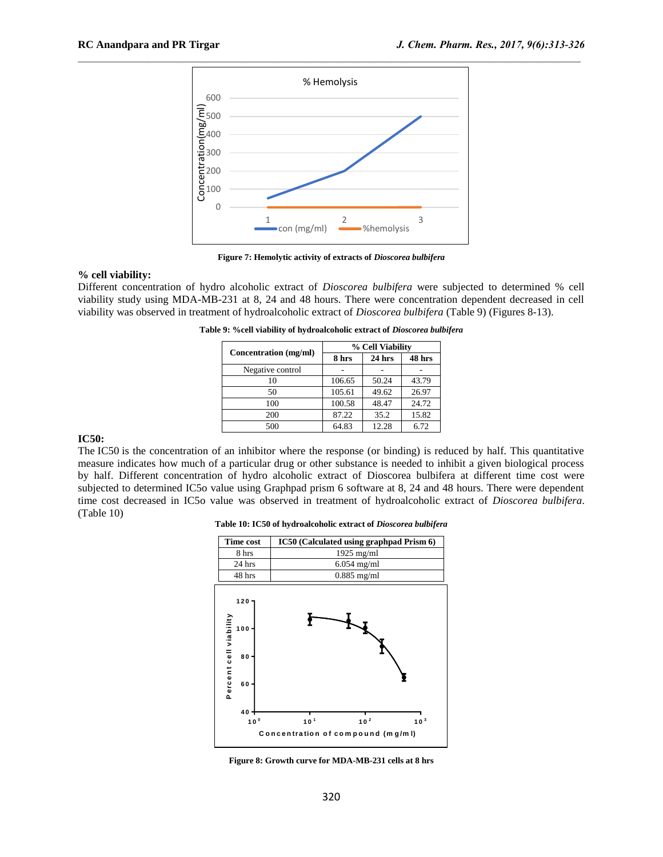

**Figure 7: Hemolytic activity of extracts of** *Dioscorea bulbifera*

# **% cell viability:**

Different concentration of hydro alcoholic extract of *Dioscorea bulbifera* were subjected to determined % cell viability study using MDA-MB-231 at 8, 24 and 48 hours. There were concentration dependent decreased in cell viability was observed in treatment of hydroalcoholic extract of *Dioscorea bulbifera* (Table 9) (Figures 8-13).

| Concentration (mg/ml) | % Cell Viability |        |        |  |  |  |
|-----------------------|------------------|--------|--------|--|--|--|
|                       | 8 hrs            | 24 hrs | 48 hrs |  |  |  |
| Negative control      |                  |        |        |  |  |  |
| 10                    | 106.65           | 50.24  | 43.79  |  |  |  |
| 50                    | 105.61           | 49.62  | 26.97  |  |  |  |
| 100                   | 100.58           | 48.47  | 24.72  |  |  |  |
| 200                   | 87.22            | 35.2   | 15.82  |  |  |  |
| 500                   | 64.83            | 12.28  | 6.72   |  |  |  |

**Table 9: %cell viability of hydroalcoholic extract of** *Dioscorea bulbifera*

# **IC50:**

The IC50 is the concentration of an inhibitor where the response (or binding) is reduced by half. This quantitative measure indicates how much of a particular drug or other substance is needed to inhibit a given biological process by half. Different concentration of hydro alcoholic extract of Dioscorea bulbifera at different time cost were subjected to determined IC5o value using Graphpad prism 6 software at 8, 24 and 48 hours. There were dependent time cost decreased in IC5o value was observed in treatment of hydroalcoholic extract of *Dioscorea bulbifera*. (Table 10)

**Table 10: IC50 of hydroalcoholic extract of** *Dioscorea bulbifera*



**Figure 8: Growth curve for MDA-MB-231 cells at 8 hrs**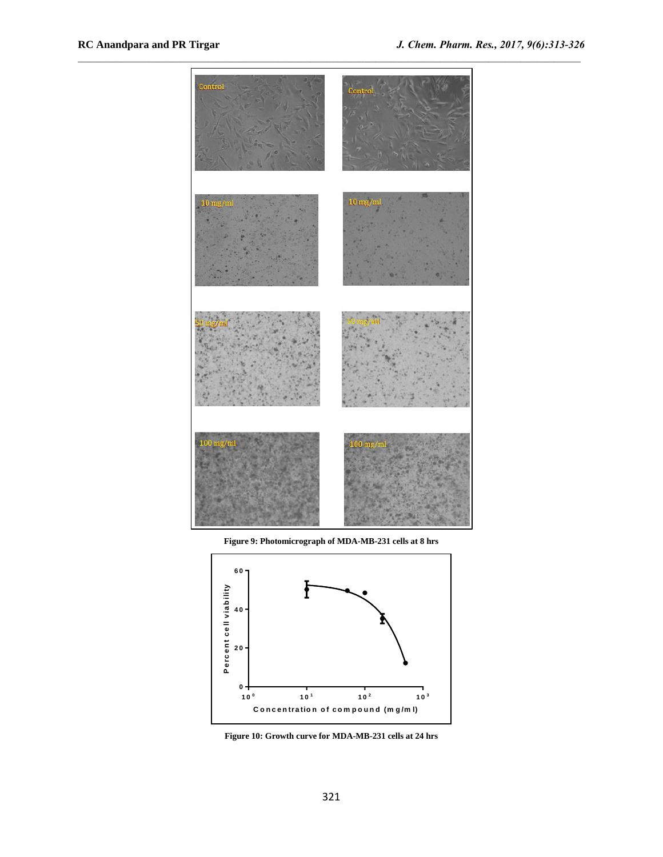

**Figure 9: Photomicrograph of MDA-MB-231 cells at 8 hrs**

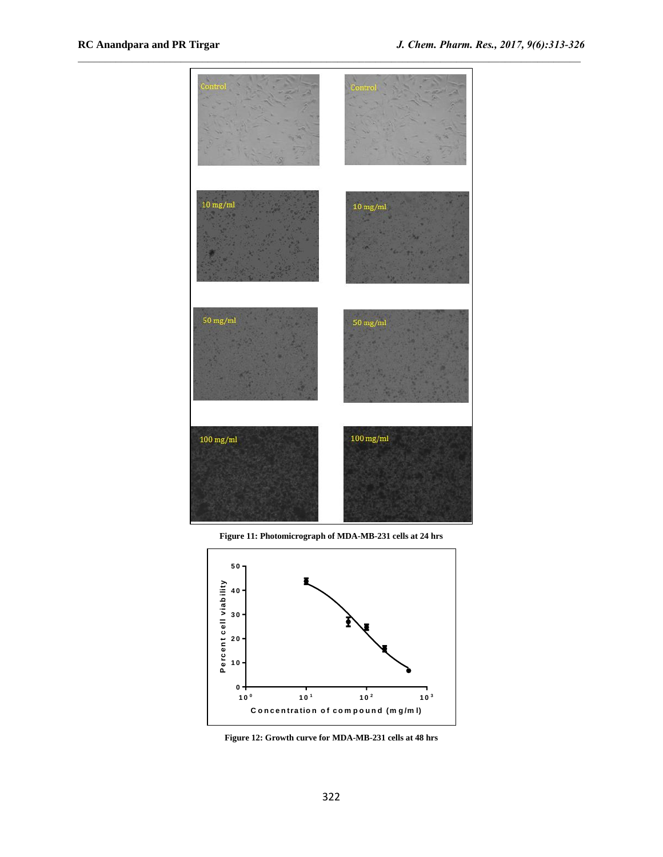

**Figure 11: Photomicrograph of MDA-MB-231 cells at 24 hrs**

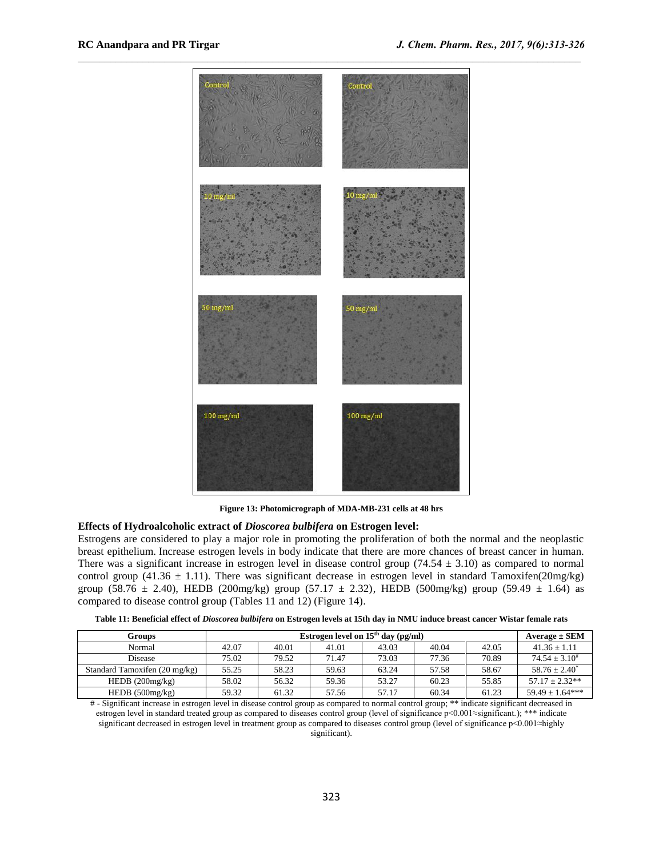

**Figure 13: Photomicrograph of MDA-MB-231 cells at 48 hrs**

## **Effects of Hydroalcoholic extract of** *Dioscorea bulbifera* **on Estrogen level:**

Estrogens are considered to play a major role in promoting the proliferation of both the normal and the neoplastic breast epithelium. Increase estrogen levels in body indicate that there are more chances of breast cancer in human. There was a significant increase in estrogen level in disease control group  $(74.54 \pm 3.10)$  as compared to normal control group (41.36  $\pm$  1.11). There was significant decrease in estrogen level in standard Tamoxifen(20mg/kg) group (58.76  $\pm$  2.40), HEDB (200mg/kg) group (57.17  $\pm$  2.32), HEDB (500mg/kg) group (59.49  $\pm$  1.64) as compared to disease control group (Tables 11 and 12) (Figure 14).

| Table 11: Beneficial effect of Dioscorea bulbifera on Estrogen levels at 15th day in NMU induce breast cancer Wistar female rats |  |  |
|----------------------------------------------------------------------------------------------------------------------------------|--|--|
|                                                                                                                                  |  |  |

| Groups                        |       | $Average \pm SEM$ |       |       |       |       |                           |
|-------------------------------|-------|-------------------|-------|-------|-------|-------|---------------------------|
| Normal                        | 42.07 | 40.01             | 41.01 | 43.03 | 40.04 | 42.05 | $41.36 \pm 1.11$          |
| Disease                       | 75.02 | 79.52             | 71.47 | 73.03 | 77.36 | 70.89 | $74.54 + 3.10^{\text{*}}$ |
| Standard Tamoxifen (20 mg/kg) | 55.25 | 58.23             | 59.63 | 63.24 | 57.58 | 58.67 | $58.76 + 2.40^*$          |
| HEDB(200mg/kg)                | 58.02 | 56.32             | 59.36 | 53.27 | 60.23 | 55.85 | $57.17 + 2.32**$          |
| HEDB(500mg/kg)                | 59.32 | 61.32             | 57.56 | 57.17 | 60.34 | 61.23 | $59.49 \pm 1.64***$       |

# - Significant increase in estrogen level in disease control group as compared to normal control group; \*\* indicate significant decreased in estrogen level in standard treated group as compared to diseases control group (level of significance p<0.001≈significant.); \*\*\* indicate significant decreased in estrogen level in treatment group as compared to diseases control group (level of significance p<0.001≈highly significant).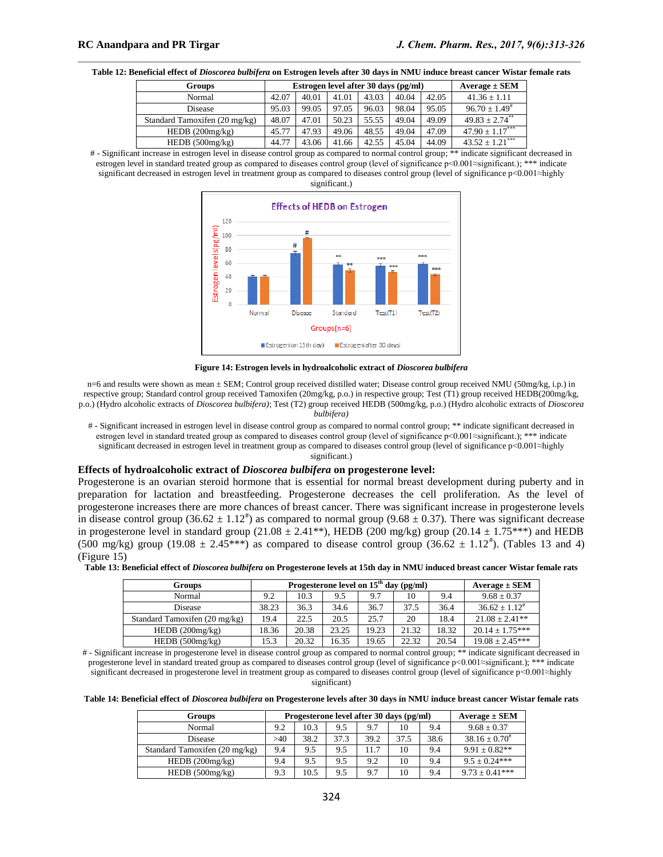**Table 12: Beneficial effect of** *Dioscorea bulbifera* **on Estrogen levels after 30 days in NMU induce breast cancer Wistar female rats**

| Groups                        |       | Estrogen level after 30 days (pg/ml) |       |       |       |       | $Average \pm SEM$              |
|-------------------------------|-------|--------------------------------------|-------|-------|-------|-------|--------------------------------|
| Normal                        | 42.07 | 40.01                                | 41.01 | 43.03 | 40.04 | 42.05 | $41.36 \pm 1.11$               |
| Disease                       | 95.03 | 99.05                                | 97.05 | 96.03 | 98.04 | 95.05 | $96.70 \pm 1.49^{\text{*}}$    |
| Standard Tamoxifen (20 mg/kg) | 48.07 | 47.01                                | 50.23 | 55.55 | 49.04 | 49.09 | $49.83 \pm 2.74$ <sup>**</sup> |
| HEDB $(200mg/kg)$             | 45.77 | 47.93                                | 49.06 | 48.55 | 49.04 | 47.09 | $47.90 \pm 1.17***$            |
| HEDB(500mg/kg)                | 44.77 | 43.06                                | 41.66 | 42.55 | 45.04 | 44.09 | $43.52 \pm 1.21$               |

<sup># -</sup> Significant increase in estrogen level in disease control group as compared to normal control group; \*\* indicate significant decreased in estrogen level in standard treated group as compared to diseases control group (level of significance p<0.001≈significant.); \*\*\* indicate significant decreased in estrogen level in treatment group as compared to diseases control group (level of significance p<0.001≈highly significant.)



**Figure 14: Estrogen levels in hydroalcoholic extract of** *Dioscorea bulbifera*

n=6 and results were shown as mean ± SEM; Control group received distilled water; Disease control group received NMU (50mg/kg, i.p.) in respective group; Standard control group received Tamoxifen (20mg/kg, p.o.) in respective group; Test (T1) group received HEDB(200mg/kg, p.o.) (Hydro alcoholic extracts of *Dioscorea bulbifera)*; Test (T2) group received HEDB (500mg/kg, p.o.) (Hydro alcoholic extracts of *Dioscorea bulbifera)*

# - Significant increased in estrogen level in disease control group as compared to normal control group; \*\* indicate significant decreased in estrogen level in standard treated group as compared to diseases control group (level of significance p<0.001≈significant.); \*\*\* indicate significant decreased in estrogen level in treatment group as compared to diseases control group (level of significance p<0.001≈highly significant.)

## **Effects of hydroalcoholic extract of** *Dioscorea bulbifera* **on progesterone level:**

Progesterone is an ovarian steroid hormone that is essential for normal breast development during puberty and in preparation for lactation and breastfeeding. Progesterone decreases the cell proliferation. As the level of progesterone increases there are more chances of breast cancer. There was significant increase in progesterone levels in disease control group (36.62  $\pm$  1.12<sup>#</sup>) as compared to normal group (9.68  $\pm$  0.37). There was significant decrease in progesterone level in standard group  $(21.08 \pm 2.41^{**})$ , HEDB  $(200 \text{ mg/kg})$  group  $(20.14 \pm 1.75^{***})$  and HEDB (500 mg/kg) group (19.08  $\pm$  2.45\*\*\*) as compared to disease control group (36.62  $\pm$  1.12<sup>#</sup>). (Tables 13 and 4) (Figure 15)

| Table 13: Beneficial effect of Dioscorea bulbifera on Progesterone levels at 15th day in NMU induced breast cancer Wistar female rats |  |  |  |
|---------------------------------------------------------------------------------------------------------------------------------------|--|--|--|
|                                                                                                                                       |  |  |  |

| Groups                        |       | Progesterone level on $15th$ day (pg/ml) | $Average \pm SEM$ |       |       |       |                     |
|-------------------------------|-------|------------------------------------------|-------------------|-------|-------|-------|---------------------|
| Normal                        | 9.2   | 10.3                                     | 9.5               | 9.7   | 10    | 9.4   | $9.68 \pm 0.37$     |
| Disease                       | 38.23 | 36.3                                     | 34.6              | 36.7  | 37.5  | 36.4  | $36.62 \pm 1.12^*$  |
| Standard Tamoxifen (20 mg/kg) | 19.4  | 22.5                                     | 20.5              | 25.7  | 20    | 18.4  | $21.08 \pm 2.41**$  |
| HEDB(200mg/kg)                | 18.36 | 20.38                                    | 23.25             | 19.23 | 21.32 | 18.32 | $20.14 \pm 1.75***$ |
| HEDB(500mg/kg)                | 15.3  | 20.32                                    | 16.35             | 19.65 | 22.32 | 20.54 | $19.08 \pm 2.45***$ |

# - Significant increase in progesterone level in disease control group as compared to normal control group; \*\* indicate significant decreased in progesterone level in standard treated group as compared to diseases control group (level of significance p<0.001≈significant.); \*\*\* indicate significant decreased in progesterone level in treatment group as compared to diseases control group (level of significance p<0.001≈highly significant)

**Table 14: Beneficial effect of** *Dioscorea bulbifera* **on Progesterone levels after 30 days in NMU induce breast cancer Wistar female rats**

| <b>Groups</b>                 |     | Progesterone level after 30 days (pg/ml) | Average $\pm$ SEM |      |      |      |                             |
|-------------------------------|-----|------------------------------------------|-------------------|------|------|------|-----------------------------|
| Normal                        | 9.2 | 10.3                                     | 9.5               | 9.7  | 10   | 9.4  | $9.68 \pm 0.37$             |
| Disease                       | >40 | 38.2                                     | 37.3              | 39.2 | 37.5 | 38.6 | $38.16 \pm 0.70^{\text{*}}$ |
| Standard Tamoxifen (20 mg/kg) | 9.4 | 9.5                                      | 9.5               | 11.7 | 10   | 9.4  | $9.91 \pm 0.82**$           |
| HEDB(200mg/kg)                | 9.4 | 9.5                                      | 9.5               | 9.2  | 10   | 9.4  | $9.5 \pm 0.24***$           |
| HEDB(500mg/kg)                | 9.3 | 10.5                                     | 9.5               | 9.7  | 10   | 9.4  | $9.73 \pm 0.41***$          |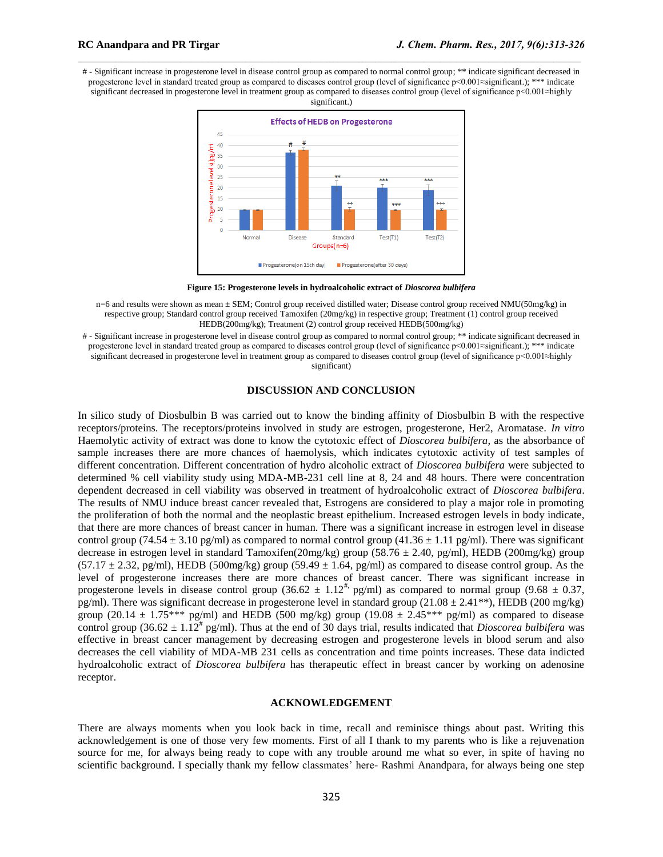# - Significant increase in progesterone level in disease control group as compared to normal control group; \*\* indicate significant decreased in progesterone level in standard treated group as compared to diseases control group (level of significance p<0.001≈significant.); \*\*\* indicate significant decreased in progesterone level in treatment group as compared to diseases control group (level of significance p<0.001≈highly significant.)



**Figure 15: Progesterone levels in hydroalcoholic extract of** *Dioscorea bulbifera*

n=6 and results were shown as mean ± SEM; Control group received distilled water; Disease control group received NMU(50mg/kg) in respective group; Standard control group received Tamoxifen (20mg/kg) in respective group; Treatment (1) control group received HEDB(200mg/kg); Treatment (2) control group received HEDB(500mg/kg)

# - Significant increase in progesterone level in disease control group as compared to normal control group; \*\* indicate significant decreased in progesterone level in standard treated group as compared to diseases control group (level of significance p<0.001≈significant.); \*\*\* indicate significant decreased in progesterone level in treatment group as compared to diseases control group (level of significance p<0.001≈highly significant)

#### **DISCUSSION AND CONCLUSION**

In silico study of Diosbulbin B was carried out to know the binding affinity of Diosbulbin B with the respective receptors/proteins. The receptors/proteins involved in study are estrogen, progesterone, Her2, Aromatase. *In vitro*  Haemolytic activity of extract was done to know the cytotoxic effect of *Dioscorea bulbifera*, as the absorbance of sample increases there are more chances of haemolysis, which indicates cytotoxic activity of test samples of different concentration. Different concentration of hydro alcoholic extract of *Dioscorea bulbifera* were subjected to determined % cell viability study using MDA-MB-231 cell line at 8, 24 and 48 hours. There were concentration dependent decreased in cell viability was observed in treatment of hydroalcoholic extract of *Dioscorea bulbifera*. The results of NMU induce breast cancer revealed that, Estrogens are considered to play a major role in promoting the proliferation of both the normal and the neoplastic breast epithelium. Increased estrogen levels in body indicate, that there are more chances of breast cancer in human. There was a significant increase in estrogen level in disease control group (74.54  $\pm$  3.10 pg/ml) as compared to normal control group (41.36  $\pm$  1.11 pg/ml). There was significant decrease in estrogen level in standard Tamoxifen(20mg/kg) group (58.76 ± 2.40, pg/ml), HEDB (200mg/kg) group  $(57.17 \pm 2.32, \text{pg/ml})$ , HEDB  $(500 \text{mg/kg})$  group  $(59.49 \pm 1.64, \text{pg/ml})$  as compared to disease control group. As the level of progesterone increases there are more chances of breast cancer. There was significant increase in progesterone levels in disease control group (36.62  $\pm$  1.12<sup>#,</sup> pg/ml) as compared to normal group (9.68  $\pm$  0.37, pg/ml). There was significant decrease in progesterone level in standard group  $(21.08 \pm 2.41^{**})$ , HEDB  $(200 \text{ mg/kg})$ group (20.14  $\pm$  1.75\*\*\* pg/ml) and HEDB (500 mg/kg) group (19.08  $\pm$  2.45\*\*\* pg/ml) as compared to disease control group (36.62  $\pm$  1.12<sup>#</sup> pg/ml). Thus at the end of 30 days trial, results indicated that *Dioscorea bulbifera* was effective in breast cancer management by decreasing estrogen and progesterone levels in blood serum and also decreases the cell viability of MDA-MB 231 cells as concentration and time points increases. These data indicted hydroalcoholic extract of *Dioscorea bulbifera* has therapeutic effect in breast cancer by working on adenosine receptor.

## **ACKNOWLEDGEMENT**

There are always moments when you look back in time, recall and reminisce things about past. Writing this acknowledgement is one of those very few moments. First of all I thank to my parents who is like a rejuvenation source for me, for always being ready to cope with any trouble around me what so ever, in spite of having no scientific background. I specially thank my fellow classmates' here- Rashmi Anandpara, for always being one step